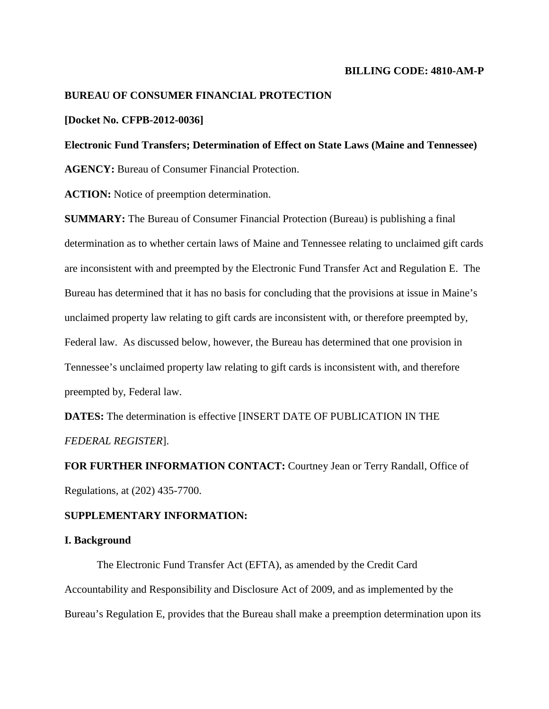### **BILLING CODE: 4810-AM-P**

## **BUREAU OF CONSUMER FINANCIAL PROTECTION**

## **[Docket No. CFPB-2012-0036]**

## **Electronic Fund Transfers; Determination of Effect on State Laws (Maine and Tennessee)**

**AGENCY:** Bureau of Consumer Financial Protection.

**ACTION:** Notice of preemption determination.

**SUMMARY:** The Bureau of Consumer Financial Protection (Bureau) is publishing a final determination as to whether certain laws of Maine and Tennessee relating to unclaimed gift cards are inconsistent with and preempted by the Electronic Fund Transfer Act and Regulation E. The Bureau has determined that it has no basis for concluding that the provisions at issue in Maine's unclaimed property law relating to gift cards are inconsistent with, or therefore preempted by, Federal law. As discussed below, however, the Bureau has determined that one provision in Tennessee's unclaimed property law relating to gift cards is inconsistent with, and therefore preempted by, Federal law.

**DATES:** The determination is effective [INSERT DATE OF PUBLICATION IN THE *FEDERAL REGISTER*].

**FOR FURTHER INFORMATION CONTACT:** Courtney Jean or Terry Randall, Office of Regulations, at (202) 435-7700.

### **SUPPLEMENTARY INFORMATION:**

## **I. Background**

The Electronic Fund Transfer Act (EFTA), as amended by the Credit Card Accountability and Responsibility and Disclosure Act of 2009, and as implemented by the Bureau's Regulation E, provides that the Bureau shall make a preemption determination upon its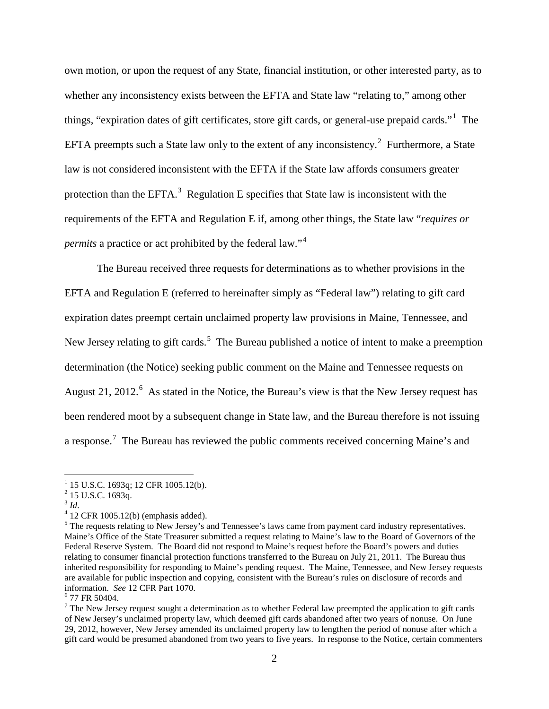own motion, or upon the request of any State, financial institution, or other interested party, as to whether any inconsistency exists between the EFTA and State law "relating to," among other things, "expiration dates of gift certificates, store gift cards, or general-use prepaid cards."[1](#page-1-0) The EFTA preempts such a State law only to the extent of any inconsistency.<sup>[2](#page-1-1)</sup> Furthermore, a State law is not considered inconsistent with the EFTA if the State law affords consumers greater protection than the EFTA.<sup>[3](#page-1-2)</sup> Regulation E specifies that State law is inconsistent with the requirements of the EFTA and Regulation E if, among other things, the State law "*requires or permits* a practice or act prohibited by the federal law."<sup>[4](#page-1-3)</sup>

The Bureau received three requests for determinations as to whether provisions in the EFTA and Regulation E (referred to hereinafter simply as "Federal law") relating to gift card expiration dates preempt certain unclaimed property law provisions in Maine, Tennessee, and New Jersey relating to gift cards.<sup>[5](#page-1-4)</sup> The Bureau published a notice of intent to make a preemption determination (the Notice) seeking public comment on the Maine and Tennessee requests on August 21, 2012. $6$  As stated in the Notice, the Bureau's view is that the New Jersey request has been rendered moot by a subsequent change in State law, and the Bureau therefore is not issuing a response.<sup>[7](#page-1-6)</sup> The Bureau has reviewed the public comments received concerning Maine's and

<span id="page-1-3"></span><span id="page-1-2"></span><sup>4</sup> 12 CFR 1005.12(b) (emphasis added).

<span id="page-1-0"></span><sup>&</sup>lt;sup>1</sup> 15 U.S.C. 1693q; 12 CFR 1005.12(b).<br>
<sup>2</sup> 15 U.S.C. 1693q.<br>
<sup>3</sup> Id.

<span id="page-1-1"></span>

<span id="page-1-4"></span><sup>&</sup>lt;sup>5</sup> The requests relating to New Jersey's and Tennessee's laws came from payment card industry representatives. Maine's Office of the State Treasurer submitted a request relating to Maine's law to the Board of Governors of the Federal Reserve System. The Board did not respond to Maine's request before the Board's powers and duties relating to consumer financial protection functions transferred to the Bureau on July 21, 2011. The Bureau thus inherited responsibility for responding to Maine's pending request. The Maine, Tennessee, and New Jersey requests are available for public inspection and copying, consistent with the Bureau's rules on disclosure of records and information. *See* <sup>12</sup> CFR Part 1070. <sup>6</sup> 77 FR 50404.

<span id="page-1-5"></span>

<span id="page-1-6"></span> $<sup>7</sup>$  The New Jersey request sought a determination as to whether Federal law preempted the application to gift cards</sup> of New Jersey's unclaimed property law, which deemed gift cards abandoned after two years of nonuse. On June 29, 2012, however, New Jersey amended its unclaimed property law to lengthen the period of nonuse after which a gift card would be presumed abandoned from two years to five years. In response to the Notice, certain commenters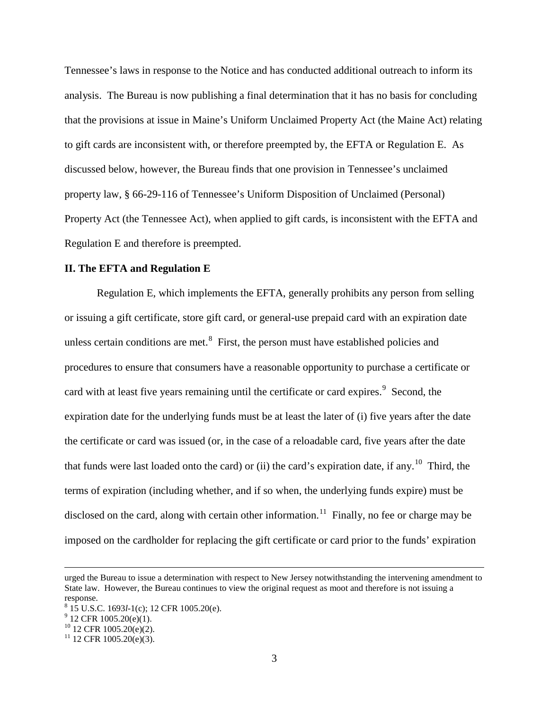Tennessee's laws in response to the Notice and has conducted additional outreach to inform its analysis. The Bureau is now publishing a final determination that it has no basis for concluding that the provisions at issue in Maine's Uniform Unclaimed Property Act (the Maine Act) relating to gift cards are inconsistent with, or therefore preempted by, the EFTA or Regulation E. As discussed below, however, the Bureau finds that one provision in Tennessee's unclaimed property law, § 66-29-116 of Tennessee's Uniform Disposition of Unclaimed (Personal) Property Act (the Tennessee Act), when applied to gift cards, is inconsistent with the EFTA and Regulation E and therefore is preempted.

### **II. The EFTA and Regulation E**

Regulation E, which implements the EFTA, generally prohibits any person from selling or issuing a gift certificate, store gift card, or general-use prepaid card with an expiration date unless certain conditions are met. $<sup>8</sup>$  $<sup>8</sup>$  $<sup>8</sup>$  First, the person must have established policies and</sup> procedures to ensure that consumers have a reasonable opportunity to purchase a certificate or card with at least five years remaining until the certificate or card expires.<sup>[9](#page-2-1)</sup> Second, the expiration date for the underlying funds must be at least the later of (i) five years after the date the certificate or card was issued (or, in the case of a reloadable card, five years after the date that funds were last loaded onto the card) or (ii) the card's expiration date, if any.<sup>[10](#page-2-2)</sup> Third, the terms of expiration (including whether, and if so when, the underlying funds expire) must be disclosed on the card, along with certain other information.<sup>11</sup> Finally, no fee or charge may be imposed on the cardholder for replacing the gift certificate or card prior to the funds' expiration

urged the Bureau to issue a determination with respect to New Jersey notwithstanding the intervening amendment to State law. However, the Bureau continues to view the original request as moot and therefore is not issuing a response.

<span id="page-2-0"></span><sup>8</sup> 15 U.S.C. 1693*l*-1(c); 12 CFR 1005.20(e). <sup>9</sup> 12 CFR 1005.20(e)(1).

<span id="page-2-1"></span>

<span id="page-2-2"></span><sup>&</sup>lt;sup>10</sup> 12 CFR 1005.20(e)(2).<br><sup>11</sup> 12 CFR 1005.20(e)(3).

<span id="page-2-3"></span>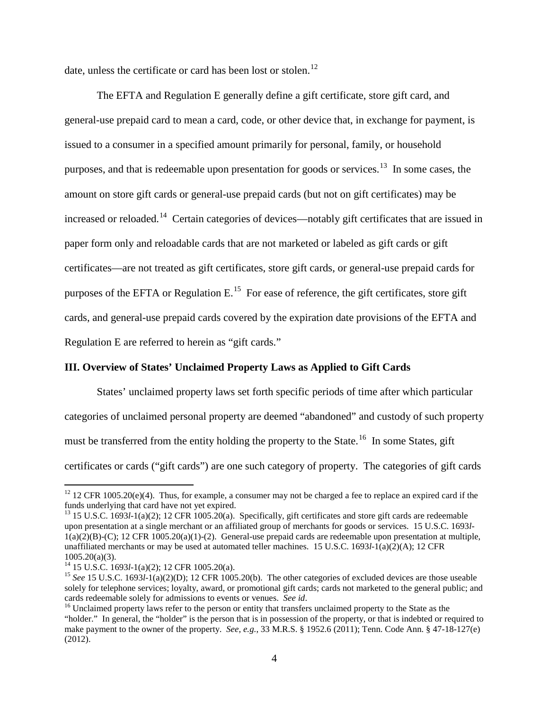date, unless the certificate or card has been lost or stolen.<sup>[12](#page-3-0)</sup>

The EFTA and Regulation E generally define a gift certificate, store gift card, and general-use prepaid card to mean a card, code, or other device that, in exchange for payment, is issued to a consumer in a specified amount primarily for personal, family, or household purposes, and that is redeemable upon presentation for goods or services.<sup>[13](#page-3-1)</sup> In some cases, the amount on store gift cards or general-use prepaid cards (but not on gift certificates) may be increased or reloaded.<sup>[14](#page-3-2)</sup> Certain categories of devices—notably gift certificates that are issued in paper form only and reloadable cards that are not marketed or labeled as gift cards or gift certificates—are not treated as gift certificates, store gift cards, or general-use prepaid cards for purposes of the EFTA or Regulation E.<sup>15</sup> For ease of reference, the gift certificates, store gift cards, and general-use prepaid cards covered by the expiration date provisions of the EFTA and Regulation E are referred to herein as "gift cards."

## **III. Overview of States' Unclaimed Property Laws as Applied to Gift Cards**

States' unclaimed property laws set forth specific periods of time after which particular categories of unclaimed personal property are deemed "abandoned" and custody of such property must be transferred from the entity holding the property to the State.<sup>16</sup> In some States, gift certificates or cards ("gift cards") are one such category of property. The categories of gift cards

<span id="page-3-0"></span><sup>&</sup>lt;sup>12</sup> 12 CFR 1005.20(e)(4). Thus, for example, a consumer may not be charged a fee to replace an expired card if the funds underlying that card have not yet expired.

<span id="page-3-1"></span><sup>&</sup>lt;sup>13</sup> 15 U.S.C. 1693*l*-1(a)(2); 12 CFR 1005.20(a). Specifically, gift certificates and store gift cards are redeemable upon presentation at a single merchant or an affiliated group of merchants for goods or services. 15 U.S.C. 1693*l*- $1(a)(2)(B)-(C)$ ; 12 CFR  $1005.20(a)(1)-(2)$ . General-use prepaid cards are redeemable upon presentation at multiple, unaffiliated merchants or may be used at automated teller machines. 15 U.S.C. 1693*l*-1(a)(2)(A); 12 CFR 1005.20(a)(3).<br><sup>14</sup> 15 U.S.C. 1693*l*-1(a)(2); 12 CFR 1005.20(a).<br><sup>15</sup> *See* 15 U.S.C. 1693*l*-1(a)(2)(D); 12 CFR 1005.20(b). The other categories of excluded devices are those useable

<span id="page-3-2"></span>

<span id="page-3-3"></span>solely for telephone services; loyalty, award, or promotional gift cards; cards not marketed to the general public; and cards redeemable solely for admissions to events or venues. See id.

<span id="page-3-4"></span><sup>&</sup>lt;sup>16</sup> Unclaimed property laws refer to the person or entity that transfers unclaimed property to the State as the "holder." In general, the "holder" is the person that is in possession of the property, or that is indebted or required to make payment to the owner of the property. *See*, *e.g.*, 33 M.R.S. § 1952.6 (2011); Tenn. Code Ann. § 47-18-127(e) (2012).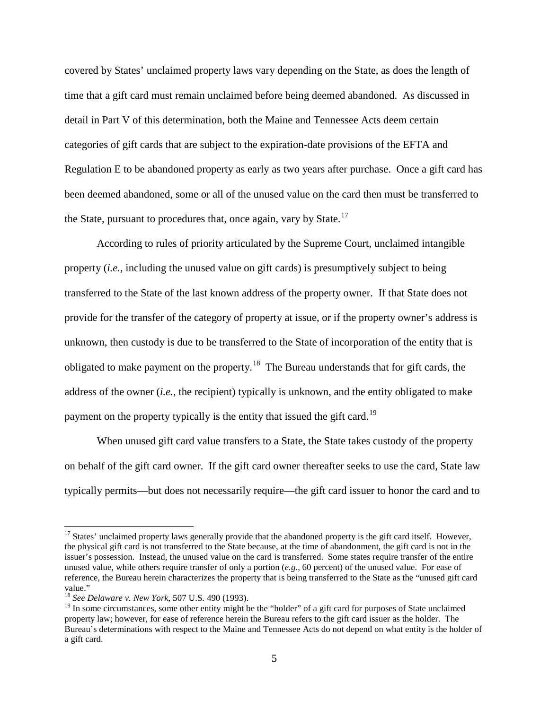covered by States' unclaimed property laws vary depending on the State, as does the length of time that a gift card must remain unclaimed before being deemed abandoned. As discussed in detail in Part V of this determination, both the Maine and Tennessee Acts deem certain categories of gift cards that are subject to the expiration-date provisions of the EFTA and Regulation E to be abandoned property as early as two years after purchase. Once a gift card has been deemed abandoned, some or all of the unused value on the card then must be transferred to the State, pursuant to procedures that, once again, vary by State.<sup>[17](#page-4-0)</sup>

According to rules of priority articulated by the Supreme Court, unclaimed intangible property (*i.e.*, including the unused value on gift cards) is presumptively subject to being transferred to the State of the last known address of the property owner. If that State does not provide for the transfer of the category of property at issue, or if the property owner's address is unknown, then custody is due to be transferred to the State of incorporation of the entity that is obligated to make payment on the property.<sup>[18](#page-4-1)</sup> The Bureau understands that for gift cards, the address of the owner (*i.e.*, the recipient) typically is unknown, and the entity obligated to make payment on the property typically is the entity that issued the gift card.<sup>[19](#page-4-2)</sup>

When unused gift card value transfers to a State, the State takes custody of the property on behalf of the gift card owner. If the gift card owner thereafter seeks to use the card, State law typically permits—but does not necessarily require—the gift card issuer to honor the card and to

<span id="page-4-0"></span><sup>&</sup>lt;sup>17</sup> States' unclaimed property laws generally provide that the abandoned property is the gift card itself. However, the physical gift card is not transferred to the State because, at the time of abandonment, the gift card is not in the issuer's possession. Instead, the unused value on the card is transferred. Some states require transfer of the entire unused value, while others require transfer of only a portion (*e.g.*, 60 percent) of the unused value. For ease of reference, the Bureau herein characterizes the property that is being transferred to the State as the "unused gift card value."

<span id="page-4-1"></span><sup>18</sup> *See Delaware v. New York*, 507 U.S. 490 (1993).

<span id="page-4-2"></span> $19$  In some circumstances, some other entity might be the "holder" of a gift card for purposes of State unclaimed property law; however, for ease of reference herein the Bureau refers to the gift card issuer as the holder. The Bureau's determinations with respect to the Maine and Tennessee Acts do not depend on what entity is the holder of a gift card.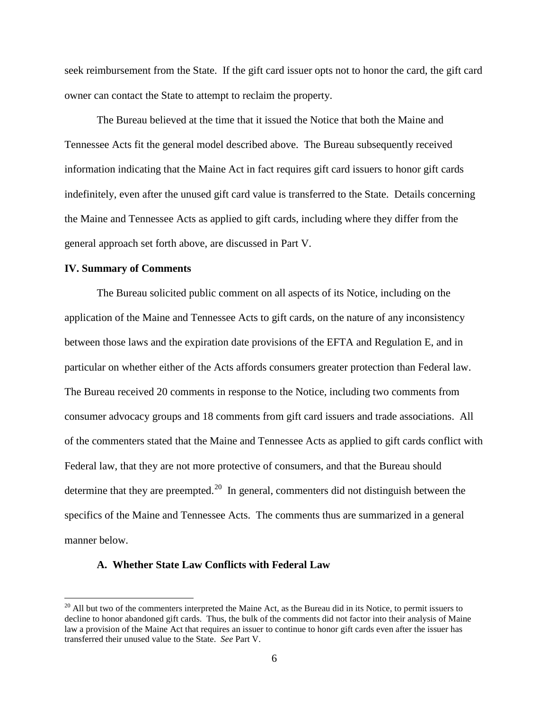seek reimbursement from the State. If the gift card issuer opts not to honor the card, the gift card owner can contact the State to attempt to reclaim the property.

The Bureau believed at the time that it issued the Notice that both the Maine and Tennessee Acts fit the general model described above. The Bureau subsequently received information indicating that the Maine Act in fact requires gift card issuers to honor gift cards indefinitely, even after the unused gift card value is transferred to the State. Details concerning the Maine and Tennessee Acts as applied to gift cards, including where they differ from the general approach set forth above, are discussed in Part V.

## **IV. Summary of Comments**

The Bureau solicited public comment on all aspects of its Notice, including on the application of the Maine and Tennessee Acts to gift cards, on the nature of any inconsistency between those laws and the expiration date provisions of the EFTA and Regulation E, and in particular on whether either of the Acts affords consumers greater protection than Federal law. The Bureau received 20 comments in response to the Notice, including two comments from consumer advocacy groups and 18 comments from gift card issuers and trade associations. All of the commenters stated that the Maine and Tennessee Acts as applied to gift cards conflict with Federal law, that they are not more protective of consumers, and that the Bureau should determine that they are preempted.<sup>20</sup> In general, commenters did not distinguish between the specifics of the Maine and Tennessee Acts. The comments thus are summarized in a general manner below.

## **A. Whether State Law Conflicts with Federal Law**

<span id="page-5-0"></span> $20$  All but two of the commenters interpreted the Maine Act, as the Bureau did in its Notice, to permit issuers to decline to honor abandoned gift cards. Thus, the bulk of the comments did not factor into their analysis of Maine law a provision of the Maine Act that requires an issuer to continue to honor gift cards even after the issuer has transferred their unused value to the State. *See* Part V.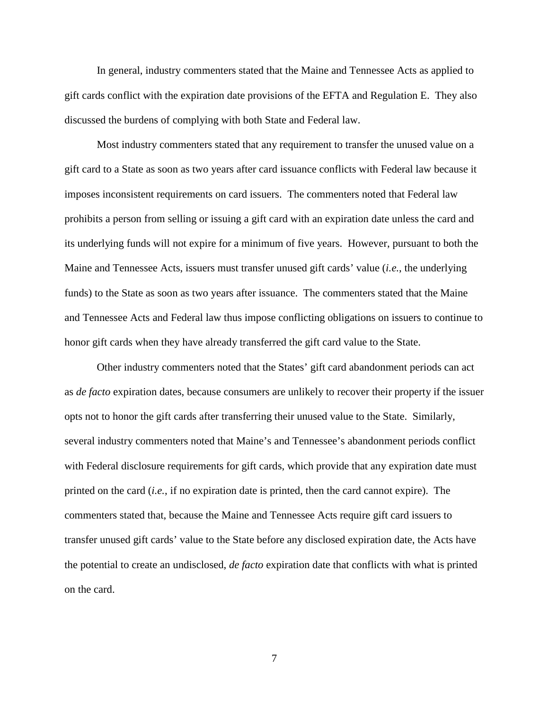In general, industry commenters stated that the Maine and Tennessee Acts as applied to gift cards conflict with the expiration date provisions of the EFTA and Regulation E. They also discussed the burdens of complying with both State and Federal law.

Most industry commenters stated that any requirement to transfer the unused value on a gift card to a State as soon as two years after card issuance conflicts with Federal law because it imposes inconsistent requirements on card issuers. The commenters noted that Federal law prohibits a person from selling or issuing a gift card with an expiration date unless the card and its underlying funds will not expire for a minimum of five years. However, pursuant to both the Maine and Tennessee Acts, issuers must transfer unused gift cards' value (*i.e.*, the underlying funds) to the State as soon as two years after issuance. The commenters stated that the Maine and Tennessee Acts and Federal law thus impose conflicting obligations on issuers to continue to honor gift cards when they have already transferred the gift card value to the State.

Other industry commenters noted that the States' gift card abandonment periods can act as *de facto* expiration dates, because consumers are unlikely to recover their property if the issuer opts not to honor the gift cards after transferring their unused value to the State. Similarly, several industry commenters noted that Maine's and Tennessee's abandonment periods conflict with Federal disclosure requirements for gift cards, which provide that any expiration date must printed on the card (*i.e.*, if no expiration date is printed, then the card cannot expire). The commenters stated that, because the Maine and Tennessee Acts require gift card issuers to transfer unused gift cards' value to the State before any disclosed expiration date, the Acts have the potential to create an undisclosed, *de facto* expiration date that conflicts with what is printed on the card.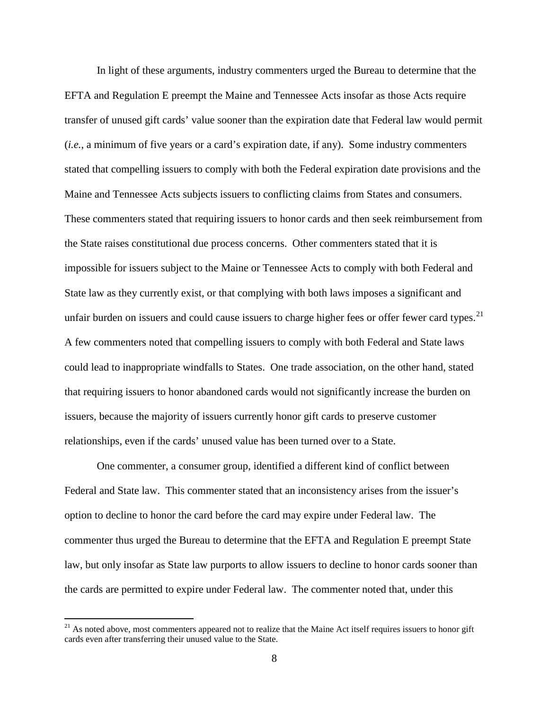In light of these arguments, industry commenters urged the Bureau to determine that the EFTA and Regulation E preempt the Maine and Tennessee Acts insofar as those Acts require transfer of unused gift cards' value sooner than the expiration date that Federal law would permit (*i.e.*, a minimum of five years or a card's expiration date, if any). Some industry commenters stated that compelling issuers to comply with both the Federal expiration date provisions and the Maine and Tennessee Acts subjects issuers to conflicting claims from States and consumers. These commenters stated that requiring issuers to honor cards and then seek reimbursement from the State raises constitutional due process concerns. Other commenters stated that it is impossible for issuers subject to the Maine or Tennessee Acts to comply with both Federal and State law as they currently exist, or that complying with both laws imposes a significant and unfair burden on issuers and could cause issuers to charge higher fees or offer fewer card types.<sup>21</sup> A few commenters noted that compelling issuers to comply with both Federal and State laws could lead to inappropriate windfalls to States. One trade association, on the other hand, stated that requiring issuers to honor abandoned cards would not significantly increase the burden on issuers, because the majority of issuers currently honor gift cards to preserve customer relationships, even if the cards' unused value has been turned over to a State.

One commenter, a consumer group, identified a different kind of conflict between Federal and State law. This commenter stated that an inconsistency arises from the issuer's option to decline to honor the card before the card may expire under Federal law. The commenter thus urged the Bureau to determine that the EFTA and Regulation E preempt State law, but only insofar as State law purports to allow issuers to decline to honor cards sooner than the cards are permitted to expire under Federal law. The commenter noted that, under this

<span id="page-7-0"></span><sup>&</sup>lt;sup>21</sup> As noted above, most commenters appeared not to realize that the Maine Act itself requires issuers to honor gift cards even after transferring their unused value to the State.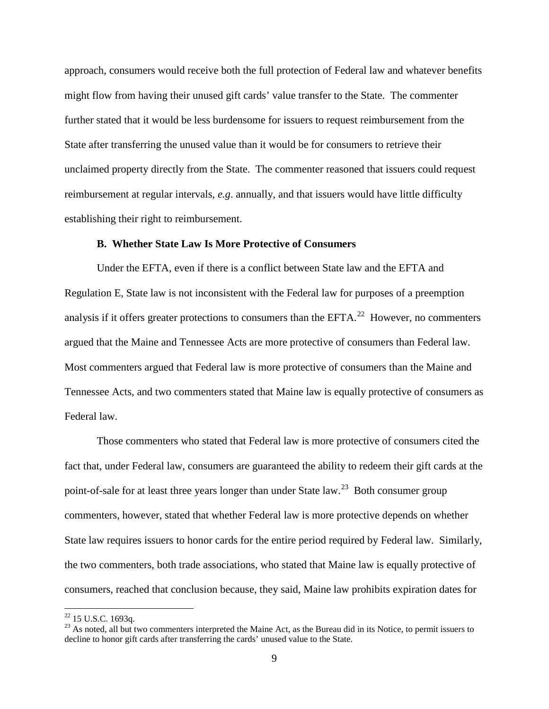approach, consumers would receive both the full protection of Federal law and whatever benefits might flow from having their unused gift cards' value transfer to the State. The commenter further stated that it would be less burdensome for issuers to request reimbursement from the State after transferring the unused value than it would be for consumers to retrieve their unclaimed property directly from the State. The commenter reasoned that issuers could request reimbursement at regular intervals, *e.g*. annually, and that issuers would have little difficulty establishing their right to reimbursement.

### **B. Whether State Law Is More Protective of Consumers**

Under the EFTA, even if there is a conflict between State law and the EFTA and Regulation E, State law is not inconsistent with the Federal law for purposes of a preemption analysis if it offers greater protections to consumers than the  $EFTA<sup>22</sup>$  However, no commenters argued that the Maine and Tennessee Acts are more protective of consumers than Federal law. Most commenters argued that Federal law is more protective of consumers than the Maine and Tennessee Acts, and two commenters stated that Maine law is equally protective of consumers as Federal law.

Those commenters who stated that Federal law is more protective of consumers cited the fact that, under Federal law, consumers are guaranteed the ability to redeem their gift cards at the point-of-sale for at least three years longer than under State law.<sup>23</sup> Both consumer group commenters, however, stated that whether Federal law is more protective depends on whether State law requires issuers to honor cards for the entire period required by Federal law. Similarly, the two commenters, both trade associations, who stated that Maine law is equally protective of consumers, reached that conclusion because, they said, Maine law prohibits expiration dates for

<span id="page-8-1"></span><span id="page-8-0"></span><sup>&</sup>lt;sup>22</sup> 15 U.S.C. 1693q.<br><sup>23</sup> As noted, all but two commenters interpreted the Maine Act, as the Bureau did in its Notice, to permit issuers to decline to honor gift cards after transferring the cards' unused value to the State.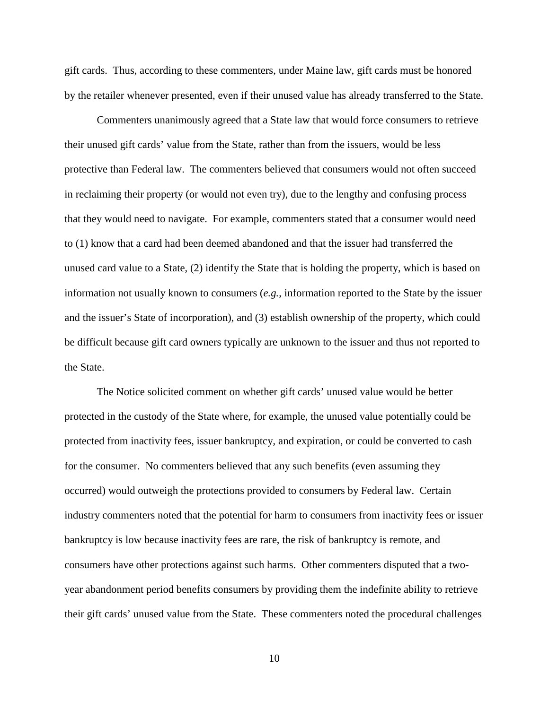gift cards. Thus, according to these commenters, under Maine law, gift cards must be honored by the retailer whenever presented, even if their unused value has already transferred to the State.

Commenters unanimously agreed that a State law that would force consumers to retrieve their unused gift cards' value from the State, rather than from the issuers, would be less protective than Federal law. The commenters believed that consumers would not often succeed in reclaiming their property (or would not even try), due to the lengthy and confusing process that they would need to navigate. For example, commenters stated that a consumer would need to (1) know that a card had been deemed abandoned and that the issuer had transferred the unused card value to a State, (2) identify the State that is holding the property, which is based on information not usually known to consumers (*e.g.*, information reported to the State by the issuer and the issuer's State of incorporation), and (3) establish ownership of the property, which could be difficult because gift card owners typically are unknown to the issuer and thus not reported to the State.

The Notice solicited comment on whether gift cards' unused value would be better protected in the custody of the State where, for example, the unused value potentially could be protected from inactivity fees, issuer bankruptcy, and expiration, or could be converted to cash for the consumer. No commenters believed that any such benefits (even assuming they occurred) would outweigh the protections provided to consumers by Federal law. Certain industry commenters noted that the potential for harm to consumers from inactivity fees or issuer bankruptcy is low because inactivity fees are rare, the risk of bankruptcy is remote, and consumers have other protections against such harms. Other commenters disputed that a twoyear abandonment period benefits consumers by providing them the indefinite ability to retrieve their gift cards' unused value from the State. These commenters noted the procedural challenges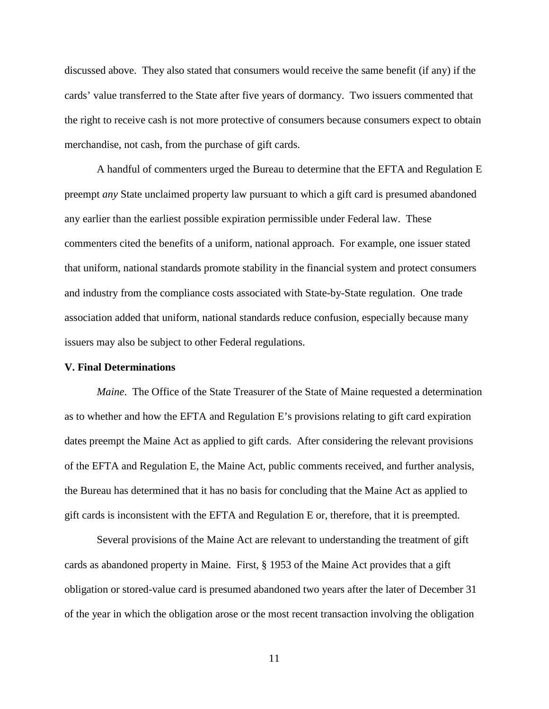discussed above. They also stated that consumers would receive the same benefit (if any) if the cards' value transferred to the State after five years of dormancy. Two issuers commented that the right to receive cash is not more protective of consumers because consumers expect to obtain merchandise, not cash, from the purchase of gift cards.

A handful of commenters urged the Bureau to determine that the EFTA and Regulation E preempt *any* State unclaimed property law pursuant to which a gift card is presumed abandoned any earlier than the earliest possible expiration permissible under Federal law. These commenters cited the benefits of a uniform, national approach. For example, one issuer stated that uniform, national standards promote stability in the financial system and protect consumers and industry from the compliance costs associated with State-by-State regulation. One trade association added that uniform, national standards reduce confusion, especially because many issuers may also be subject to other Federal regulations.

### **V. Final Determinations**

*Maine*. The Office of the State Treasurer of the State of Maine requested a determination as to whether and how the EFTA and Regulation E's provisions relating to gift card expiration dates preempt the Maine Act as applied to gift cards. After considering the relevant provisions of the EFTA and Regulation E, the Maine Act, public comments received, and further analysis, the Bureau has determined that it has no basis for concluding that the Maine Act as applied to gift cards is inconsistent with the EFTA and Regulation E or, therefore, that it is preempted.

Several provisions of the Maine Act are relevant to understanding the treatment of gift cards as abandoned property in Maine. First, § 1953 of the Maine Act provides that a gift obligation or stored-value card is presumed abandoned two years after the later of December 31 of the year in which the obligation arose or the most recent transaction involving the obligation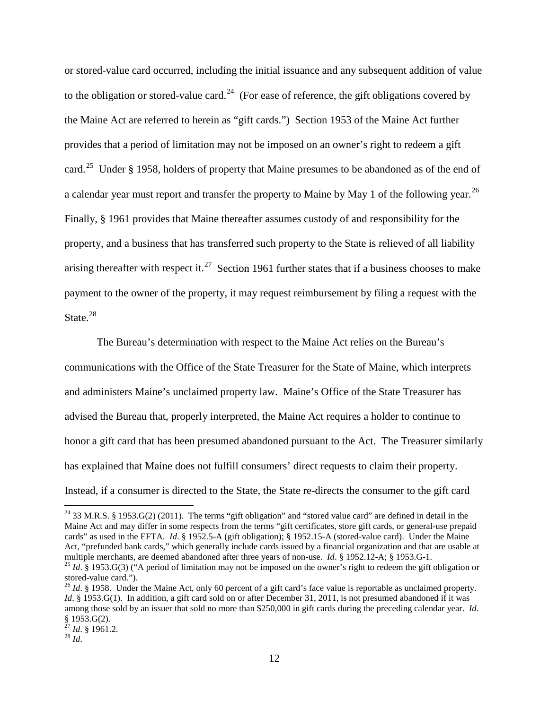or stored-value card occurred, including the initial issuance and any subsequent addition of value to the obligation or stored-value card.<sup>[24](#page-11-0)</sup> (For ease of reference, the gift obligations covered by the Maine Act are referred to herein as "gift cards.") Section 1953 of the Maine Act further provides that a period of limitation may not be imposed on an owner's right to redeem a gift card.<sup>[25](#page-11-1)</sup> Under § 1958, holders of property that Maine presumes to be abandoned as of the end of a calendar year must report and transfer the property to Maine by May 1 of the following year.  $^{26}$  $^{26}$  $^{26}$ Finally, § 1961 provides that Maine thereafter assumes custody of and responsibility for the property, and a business that has transferred such property to the State is relieved of all liability arising thereafter with respect it.<sup>[27](#page-11-3)</sup> Section 1961 further states that if a business chooses to make payment to the owner of the property, it may request reimbursement by filing a request with the State.<sup>[28](#page-11-4)</sup>

The Bureau's determination with respect to the Maine Act relies on the Bureau's communications with the Office of the State Treasurer for the State of Maine, which interprets and administers Maine's unclaimed property law. Maine's Office of the State Treasurer has advised the Bureau that, properly interpreted, the Maine Act requires a holder to continue to honor a gift card that has been presumed abandoned pursuant to the Act. The Treasurer similarly has explained that Maine does not fulfill consumers' direct requests to claim their property. Instead, if a consumer is directed to the State, the State re-directs the consumer to the gift card

<span id="page-11-0"></span><sup>&</sup>lt;sup>24</sup> 33 M.R.S. § 1953.G(2) (2011). The terms "gift obligation" and "stored value card" are defined in detail in the Maine Act and may differ in some respects from the terms "gift certificates, store gift cards, or general-use prepaid cards" as used in the EFTA. *Id*. § 1952.5-A (gift obligation); § 1952.15-A (stored-value card). Under the Maine Act, "prefunded bank cards," which generally include cards issued by a financial organization and that are usable at multiple merchants, are deemed abandoned after three years of non-use. *Id.* § 1952.12-A; § 1953.G-1.

<span id="page-11-1"></span><sup>&</sup>lt;sup>25</sup> *Id.* § 1953.G(3) ("A period of limitation may not be imposed on the owner's right to redeem the gift obligation or stored-value card.").

<span id="page-11-2"></span><sup>&</sup>lt;sup>26</sup> *Id.* § 1958. Under the Maine Act, only 60 percent of a gift card's face value is reportable as unclaimed property. *Id.* § 1953.G(1). In addition, a gift card sold on or after December 31, 2011, is not presumed abandoned if it was among those sold by an issuer that sold no more than \$250,000 in gift cards during the preceding calendar year. *Id*. § 1953.G(2). <sup>27</sup> *Id*. § 1961.2. <sup>28</sup> *Id*.

<span id="page-11-3"></span>

<span id="page-11-4"></span>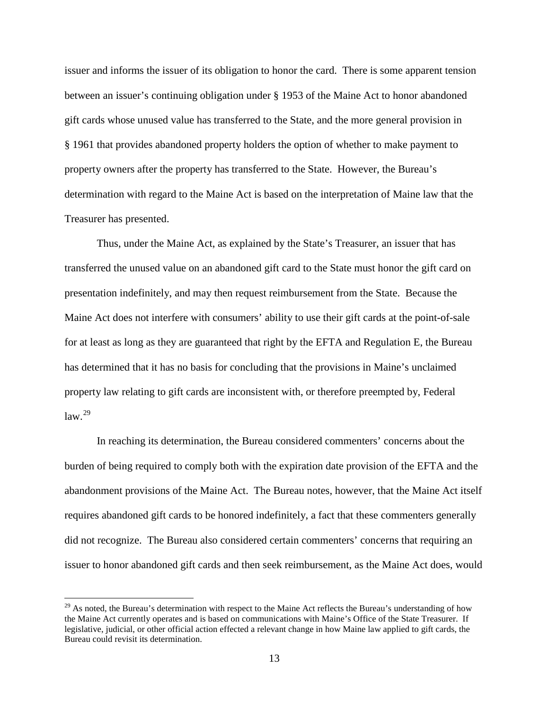issuer and informs the issuer of its obligation to honor the card. There is some apparent tension between an issuer's continuing obligation under § 1953 of the Maine Act to honor abandoned gift cards whose unused value has transferred to the State, and the more general provision in § 1961 that provides abandoned property holders the option of whether to make payment to property owners after the property has transferred to the State. However, the Bureau's determination with regard to the Maine Act is based on the interpretation of Maine law that the Treasurer has presented.

Thus, under the Maine Act, as explained by the State's Treasurer, an issuer that has transferred the unused value on an abandoned gift card to the State must honor the gift card on presentation indefinitely, and may then request reimbursement from the State. Because the Maine Act does not interfere with consumers' ability to use their gift cards at the point-of-sale for at least as long as they are guaranteed that right by the EFTA and Regulation E, the Bureau has determined that it has no basis for concluding that the provisions in Maine's unclaimed property law relating to gift cards are inconsistent with, or therefore preempted by, Federal  $law<sup>29</sup>$  $law<sup>29</sup>$  $law<sup>29</sup>$ 

In reaching its determination, the Bureau considered commenters' concerns about the burden of being required to comply both with the expiration date provision of the EFTA and the abandonment provisions of the Maine Act. The Bureau notes, however, that the Maine Act itself requires abandoned gift cards to be honored indefinitely, a fact that these commenters generally did not recognize. The Bureau also considered certain commenters' concerns that requiring an issuer to honor abandoned gift cards and then seek reimbursement, as the Maine Act does, would

<span id="page-12-0"></span> $29$  As noted, the Bureau's determination with respect to the Maine Act reflects the Bureau's understanding of how the Maine Act currently operates and is based on communications with Maine's Office of the State Treasurer. If legislative, judicial, or other official action effected a relevant change in how Maine law applied to gift cards, the Bureau could revisit its determination.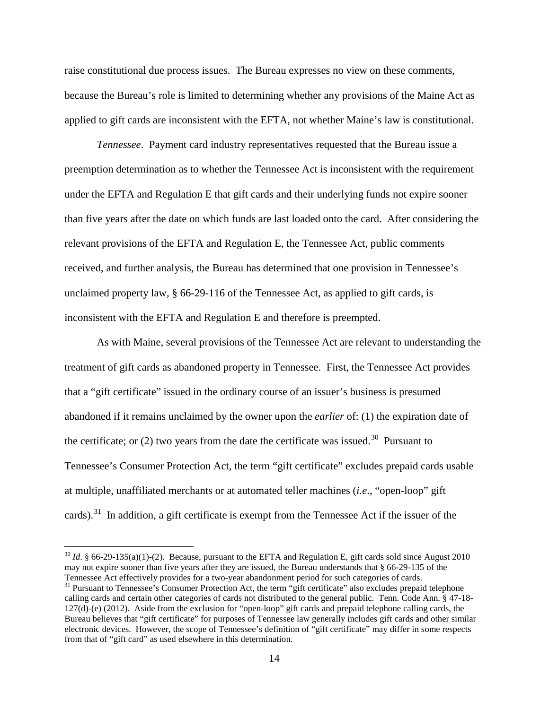raise constitutional due process issues. The Bureau expresses no view on these comments, because the Bureau's role is limited to determining whether any provisions of the Maine Act as applied to gift cards are inconsistent with the EFTA, not whether Maine's law is constitutional.

*Tennessee*. Payment card industry representatives requested that the Bureau issue a preemption determination as to whether the Tennessee Act is inconsistent with the requirement under the EFTA and Regulation E that gift cards and their underlying funds not expire sooner than five years after the date on which funds are last loaded onto the card. After considering the relevant provisions of the EFTA and Regulation E, the Tennessee Act, public comments received, and further analysis, the Bureau has determined that one provision in Tennessee's unclaimed property law, § 66-29-116 of the Tennessee Act, as applied to gift cards, is inconsistent with the EFTA and Regulation E and therefore is preempted.

As with Maine, several provisions of the Tennessee Act are relevant to understanding the treatment of gift cards as abandoned property in Tennessee. First, the Tennessee Act provides that a "gift certificate" issued in the ordinary course of an issuer's business is presumed abandoned if it remains unclaimed by the owner upon the *earlier* of: (1) the expiration date of the certificate; or (2) two years from the date the certificate was issued.<sup>[30](#page-13-0)</sup> Pursuant to Tennessee's Consumer Protection Act, the term "gift certificate" excludes prepaid cards usable at multiple, unaffiliated merchants or at automated teller machines (*i.e*., "open-loop" gift cards).<sup>[31](#page-13-1)</sup> In addition, a gift certificate is exempt from the Tennessee Act if the issuer of the

<span id="page-13-0"></span> $30$  *Id.* § 66-29-135(a)(1)-(2). Because, pursuant to the EFTA and Regulation E, gift cards sold since August 2010 may not expire sooner than five years after they are issued, the Bureau understands that § 66-29-135 of the Tennessee Act effectively provides for a two-year abandonment period for such categories of cards.

<span id="page-13-1"></span> $31$  Pursuant to Tennessee's Consumer Protection Act, the term "gift certificate" also excludes prepaid telephone calling cards and certain other categories of cards not distributed to the general public. Tenn. Code Ann. § 47-18- 127(d)-(e) (2012). Aside from the exclusion for "open-loop" gift cards and prepaid telephone calling cards, the Bureau believes that "gift certificate" for purposes of Tennessee law generally includes gift cards and other similar electronic devices. However, the scope of Tennessee's definition of "gift certificate" may differ in some respects from that of "gift card" as used elsewhere in this determination.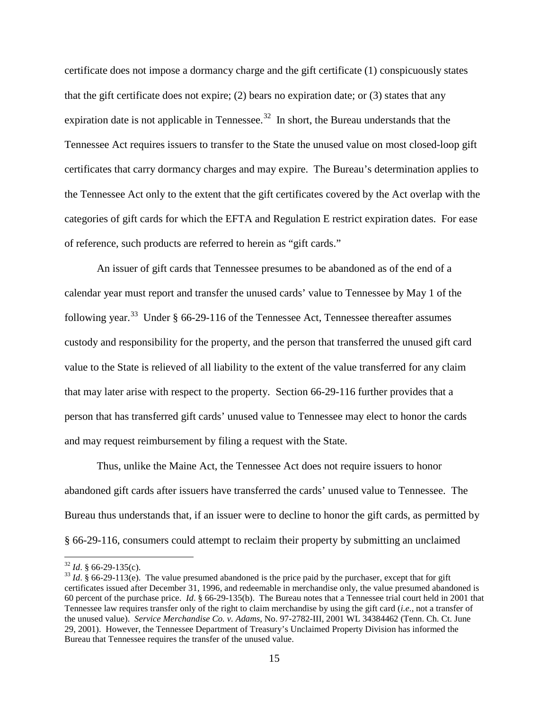certificate does not impose a dormancy charge and the gift certificate (1) conspicuously states that the gift certificate does not expire; (2) bears no expiration date; or (3) states that any expiration date is not applicable in Tennessee.<sup>[32](#page-14-0)</sup> In short, the Bureau understands that the Tennessee Act requires issuers to transfer to the State the unused value on most closed-loop gift certificates that carry dormancy charges and may expire. The Bureau's determination applies to the Tennessee Act only to the extent that the gift certificates covered by the Act overlap with the categories of gift cards for which the EFTA and Regulation E restrict expiration dates. For ease of reference, such products are referred to herein as "gift cards."

An issuer of gift cards that Tennessee presumes to be abandoned as of the end of a calendar year must report and transfer the unused cards' value to Tennessee by May 1 of the following year.<sup>33</sup> Under § 66-29-116 of the Tennessee Act, Tennessee thereafter assumes custody and responsibility for the property, and the person that transferred the unused gift card value to the State is relieved of all liability to the extent of the value transferred for any claim that may later arise with respect to the property. Section 66-29-116 further provides that a person that has transferred gift cards' unused value to Tennessee may elect to honor the cards and may request reimbursement by filing a request with the State.

Thus, unlike the Maine Act, the Tennessee Act does not require issuers to honor abandoned gift cards after issuers have transferred the cards' unused value to Tennessee. The Bureau thus understands that, if an issuer were to decline to honor the gift cards, as permitted by § 66-29-116, consumers could attempt to reclaim their property by submitting an unclaimed

<span id="page-14-1"></span><span id="page-14-0"></span> $\frac{32}{31}$  *Id*. § 66-29-135(c).<br> $\frac{33}{1}$  *Id*. § 66-29-113(e). The value presumed abandoned is the price paid by the purchaser, except that for gift certificates issued after December 31, 1996, and redeemable in merchandise only, the value presumed abandoned is 60 percent of the purchase price. *Id*. § 66-29-135(b). The Bureau notes that a Tennessee trial court held in 2001 that Tennessee law requires transfer only of the right to claim merchandise by using the gift card (*i.e*., not a transfer of the unused value). *Service Merchandise Co. v. Adams*, No. 97-2782-III, 2001 WL 34384462 (Tenn. Ch. Ct. June 29, 2001). However, the Tennessee Department of Treasury's Unclaimed Property Division has informed the Bureau that Tennessee requires the transfer of the unused value.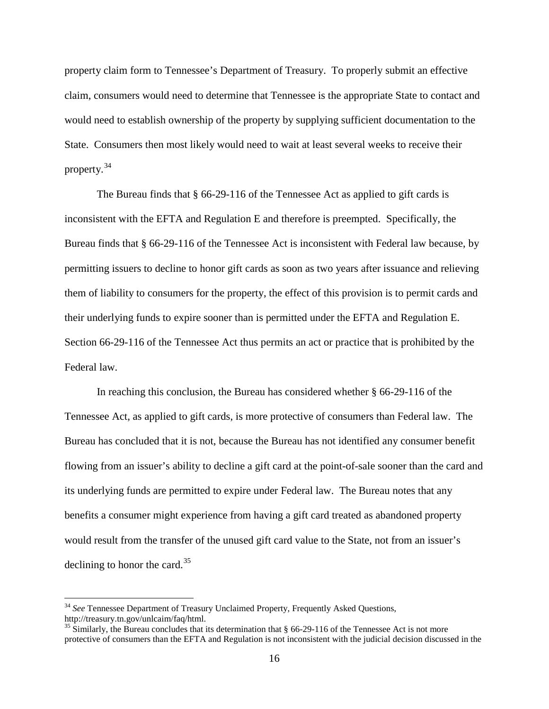property claim form to Tennessee's Department of Treasury. To properly submit an effective claim, consumers would need to determine that Tennessee is the appropriate State to contact and would need to establish ownership of the property by supplying sufficient documentation to the State. Consumers then most likely would need to wait at least several weeks to receive their property. [34](#page-15-0)

The Bureau finds that § 66-29-116 of the Tennessee Act as applied to gift cards is inconsistent with the EFTA and Regulation E and therefore is preempted. Specifically, the Bureau finds that § 66-29-116 of the Tennessee Act is inconsistent with Federal law because, by permitting issuers to decline to honor gift cards as soon as two years after issuance and relieving them of liability to consumers for the property, the effect of this provision is to permit cards and their underlying funds to expire sooner than is permitted under the EFTA and Regulation E. Section 66-29-116 of the Tennessee Act thus permits an act or practice that is prohibited by the Federal law.

In reaching this conclusion, the Bureau has considered whether § 66-29-116 of the Tennessee Act, as applied to gift cards, is more protective of consumers than Federal law. The Bureau has concluded that it is not, because the Bureau has not identified any consumer benefit flowing from an issuer's ability to decline a gift card at the point-of-sale sooner than the card and its underlying funds are permitted to expire under Federal law. The Bureau notes that any benefits a consumer might experience from having a gift card treated as abandoned property would result from the transfer of the unused gift card value to the State, not from an issuer's declining to honor the card.<sup>[35](#page-15-1)</sup>

<span id="page-15-0"></span><sup>&</sup>lt;sup>34</sup> See Tennessee Department of Treasury Unclaimed Property, Frequently Asked Questions, http://treasury.tn.gov/unlcaim/faq/html.

<span id="page-15-1"></span> $35$  Similarly, the Bureau concludes that its determination that § 66-29-116 of the Tennessee Act is not more protective of consumers than the EFTA and Regulation is not inconsistent with the judicial decision discussed in the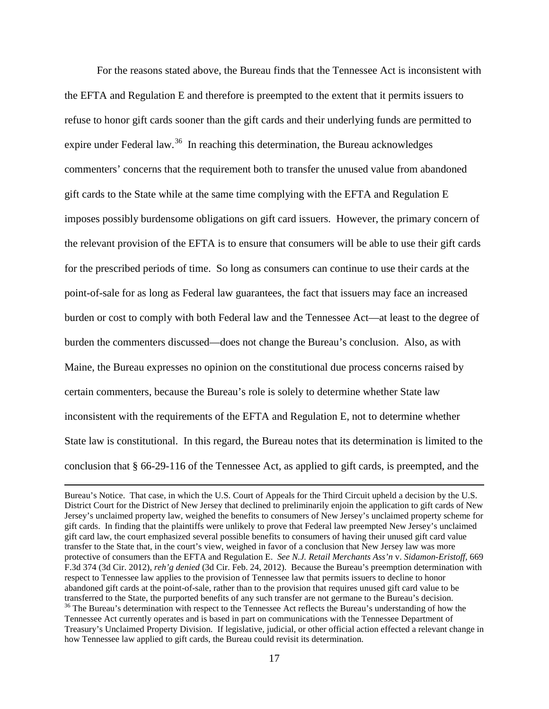For the reasons stated above, the Bureau finds that the Tennessee Act is inconsistent with the EFTA and Regulation E and therefore is preempted to the extent that it permits issuers to refuse to honor gift cards sooner than the gift cards and their underlying funds are permitted to expire under Federal law.<sup>[36](#page-16-0)</sup> In reaching this determination, the Bureau acknowledges commenters' concerns that the requirement both to transfer the unused value from abandoned gift cards to the State while at the same time complying with the EFTA and Regulation E imposes possibly burdensome obligations on gift card issuers. However, the primary concern of the relevant provision of the EFTA is to ensure that consumers will be able to use their gift cards for the prescribed periods of time. So long as consumers can continue to use their cards at the point-of-sale for as long as Federal law guarantees, the fact that issuers may face an increased burden or cost to comply with both Federal law and the Tennessee Act—at least to the degree of burden the commenters discussed—does not change the Bureau's conclusion. Also, as with Maine, the Bureau expresses no opinion on the constitutional due process concerns raised by certain commenters, because the Bureau's role is solely to determine whether State law inconsistent with the requirements of the EFTA and Regulation E, not to determine whether State law is constitutional. In this regard, the Bureau notes that its determination is limited to the conclusion that § 66-29-116 of the Tennessee Act, as applied to gift cards, is preempted, and the

 $\overline{a}$ 

<span id="page-16-0"></span>Bureau's Notice. That case, in which the U.S. Court of Appeals for the Third Circuit upheld a decision by the U.S. District Court for the District of New Jersey that declined to preliminarily enjoin the application to gift cards of New Jersey's unclaimed property law, weighed the benefits to consumers of New Jersey's unclaimed property scheme for gift cards. In finding that the plaintiffs were unlikely to prove that Federal law preempted New Jersey's unclaimed gift card law, the court emphasized several possible benefits to consumers of having their unused gift card value transfer to the State that, in the court's view, weighed in favor of a conclusion that New Jersey law was more protective of consumers than the EFTA and Regulation E. *See N.J. Retail Merchants Ass'n* v. *Sidamon-Eristoff,* 669 F.3d 374 (3d Cir. 2012), *reh'g denied* (3d Cir. Feb. 24, 2012). Because the Bureau's preemption determination with respect to Tennessee law applies to the provision of Tennessee law that permits issuers to decline to honor abandoned gift cards at the point-of-sale, rather than to the provision that requires unused gift card value to be transferred to the State, the purported benefits of any such transfer are not germane to the Bureau's decis  $36$  The Bureau's determination with respect to the Tennessee Act reflects the Bureau's understanding of how the Tennessee Act currently operates and is based in part on communications with the Tennessee Department of Treasury's Unclaimed Property Division. If legislative, judicial, or other official action effected a relevant change in how Tennessee law applied to gift cards, the Bureau could revisit its determination.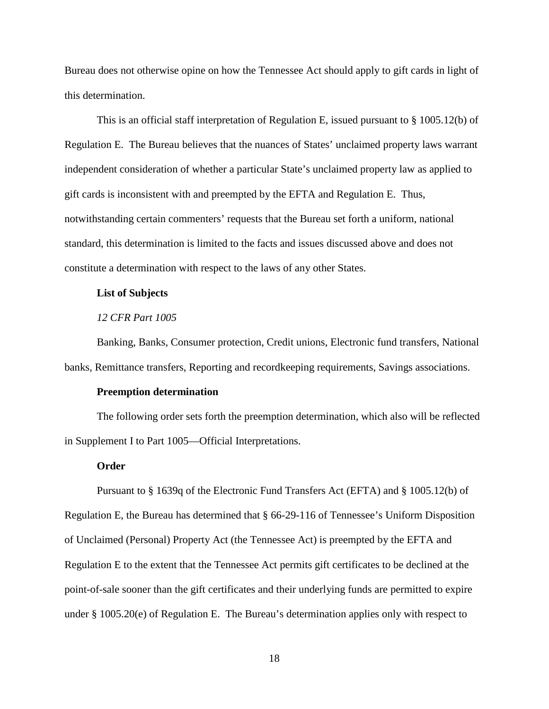Bureau does not otherwise opine on how the Tennessee Act should apply to gift cards in light of this determination.

This is an official staff interpretation of Regulation E, issued pursuant to § 1005.12(b) of Regulation E. The Bureau believes that the nuances of States' unclaimed property laws warrant independent consideration of whether a particular State's unclaimed property law as applied to gift cards is inconsistent with and preempted by the EFTA and Regulation E. Thus, notwithstanding certain commenters' requests that the Bureau set forth a uniform, national standard, this determination is limited to the facts and issues discussed above and does not constitute a determination with respect to the laws of any other States.

### **List of Subjects**

## *12 CFR Part 1005*

Banking, Banks, Consumer protection, Credit unions, Electronic fund transfers, National banks, Remittance transfers, Reporting and recordkeeping requirements, Savings associations.

#### **Preemption determination**

The following order sets forth the preemption determination, which also will be reflected in Supplement I to Part 1005—Official Interpretations.

#### **Order**

Pursuant to § 1639q of the Electronic Fund Transfers Act (EFTA) and § 1005.12(b) of Regulation E, the Bureau has determined that § 66-29-116 of Tennessee's Uniform Disposition of Unclaimed (Personal) Property Act (the Tennessee Act) is preempted by the EFTA and Regulation E to the extent that the Tennessee Act permits gift certificates to be declined at the point-of-sale sooner than the gift certificates and their underlying funds are permitted to expire under § 1005.20(e) of Regulation E. The Bureau's determination applies only with respect to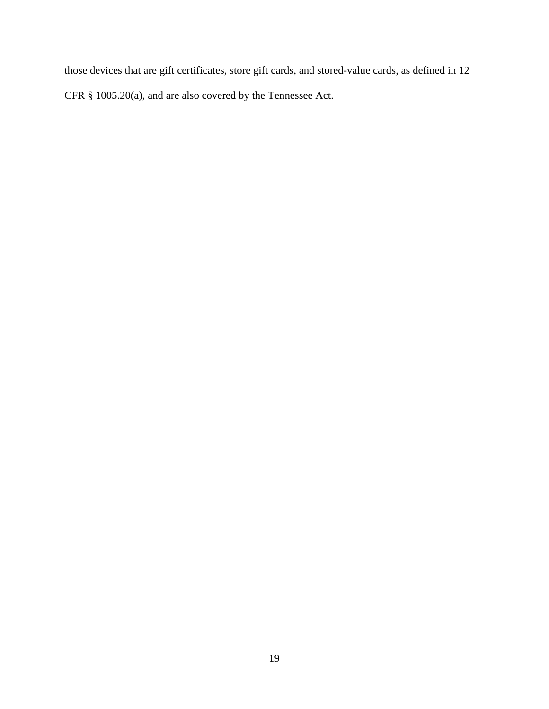those devices that are gift certificates, store gift cards, and stored-value cards, as defined in 12 CFR § 1005.20(a), and are also covered by the Tennessee Act.